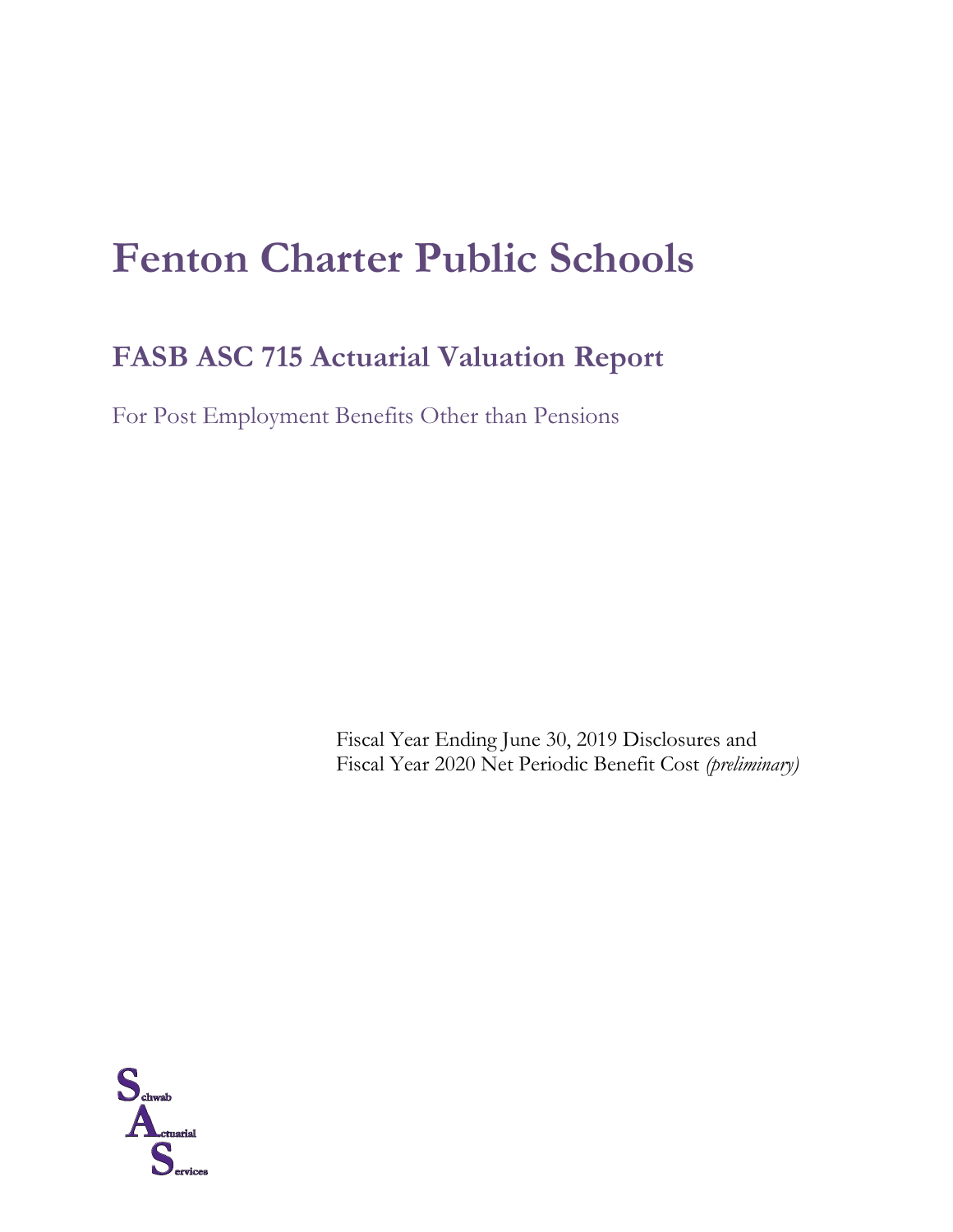# **Fenton Charter Public Schools**

# **FASB ASC 715 Actuarial Valuation Report**

For Post Employment Benefits Other than Pensions

Fiscal Year Ending June 30, 2019 Disclosures and Fiscal Year 2020 Net Periodic Benefit Cost *(preliminary)*

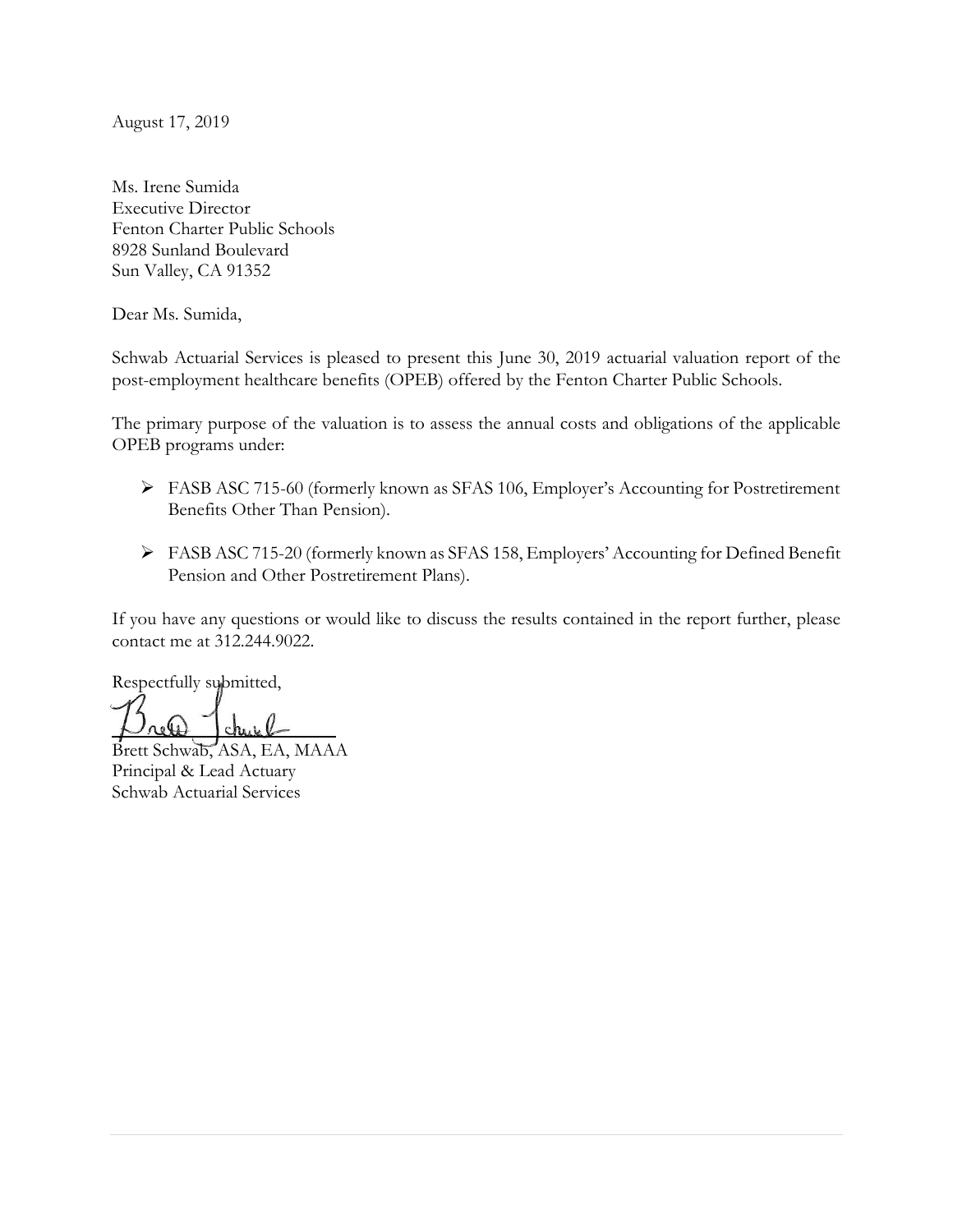August 17, 2019

Ms. Irene Sumida Executive Director Fenton Charter Public Schools 8928 Sunland Boulevard Sun Valley, CA 91352

Dear Ms. Sumida,

Schwab Actuarial Services is pleased to present this June 30, 2019 actuarial valuation report of the post-employment healthcare benefits (OPEB) offered by the Fenton Charter Public Schools.

The primary purpose of the valuation is to assess the annual costs and obligations of the applicable OPEB programs under:

- FASB ASC 715-60 (formerly known as SFAS 106, Employer's Accounting for Postretirement Benefits Other Than Pension).
- FASB ASC 715-20 (formerly known as SFAS 158, Employers' Accounting for Defined Benefit Pension and Other Postretirement Plans).

If you have any questions or would like to discuss the results contained in the report further, please contact me at 312.244.9022.

Respectfully submitted,

Brett Schwab, ASA, EA, MAAA Principal & Lead Actuary Schwab Actuarial Services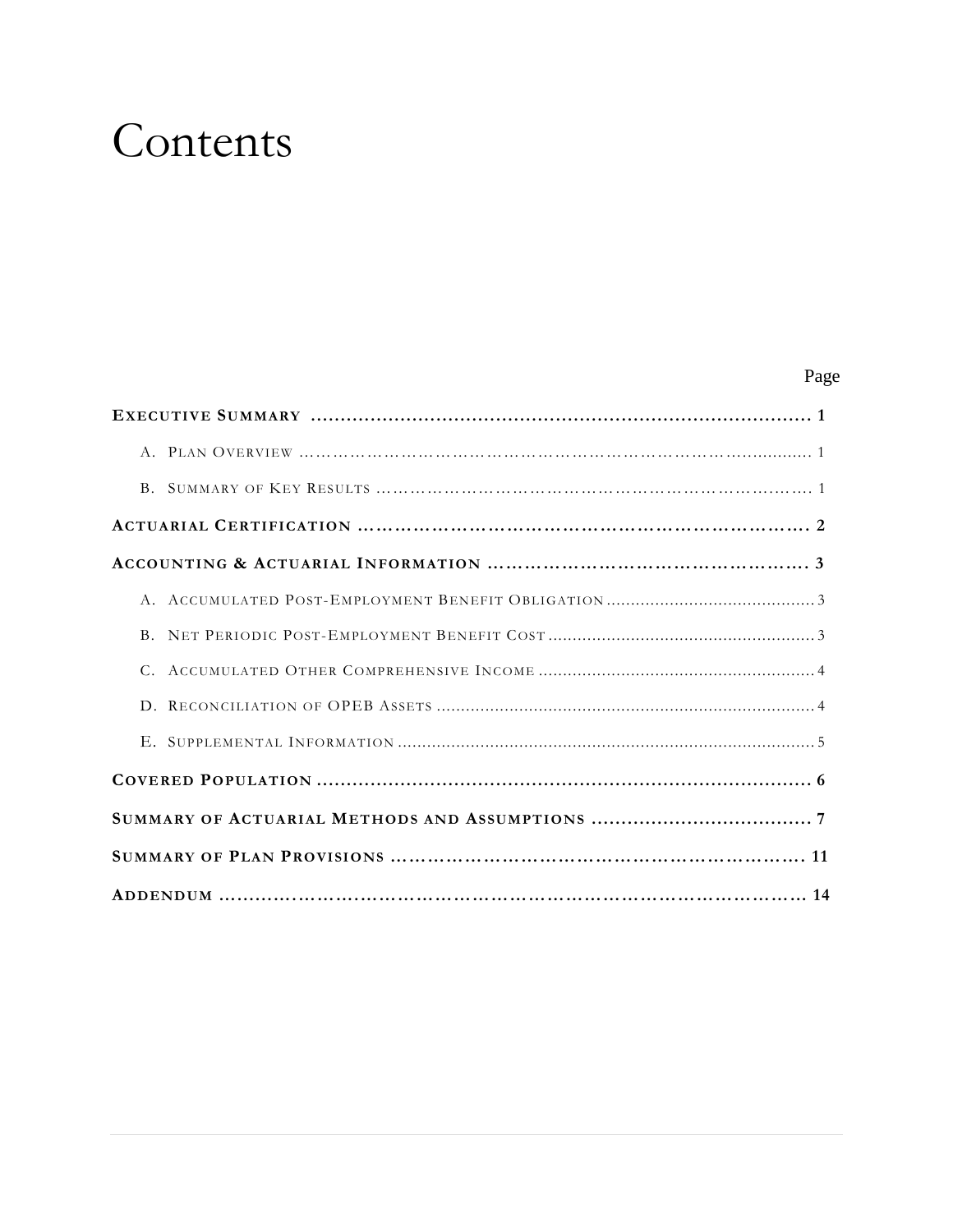# Contents

# Page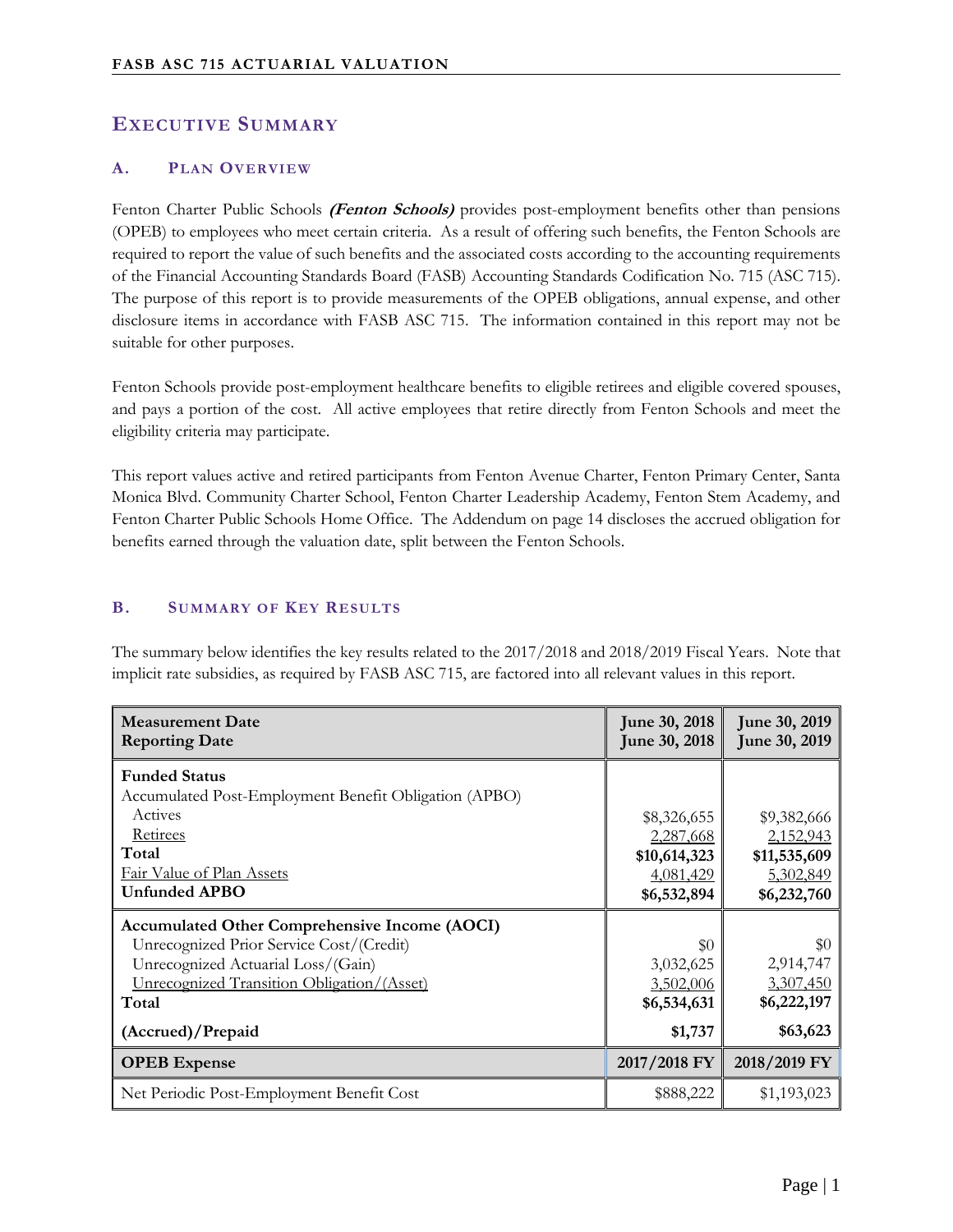# **EXECUTIVE SUMMARY**

#### **A. PLAN OVERVIEW**

Fenton Charter Public Schools **(Fenton Schools)** provides post-employment benefits other than pensions (OPEB) to employees who meet certain criteria. As a result of offering such benefits, the Fenton Schools are required to report the value of such benefits and the associated costs according to the accounting requirements of the Financial Accounting Standards Board (FASB) Accounting Standards Codification No. 715 (ASC 715). The purpose of this report is to provide measurements of the OPEB obligations, annual expense, and other disclosure items in accordance with FASB ASC 715. The information contained in this report may not be suitable for other purposes.

Fenton Schools provide post-employment healthcare benefits to eligible retirees and eligible covered spouses, and pays a portion of the cost. All active employees that retire directly from Fenton Schools and meet the eligibility criteria may participate.

This report values active and retired participants from Fenton Avenue Charter, Fenton Primary Center, Santa Monica Blvd. Community Charter School, Fenton Charter Leadership Academy, Fenton Stem Academy, and Fenton Charter Public Schools Home Office. The Addendum on page 14 discloses the accrued obligation for benefits earned through the valuation date, split between the Fenton Schools.

#### **B. SUMMARY OF KEY RESULTS**

The summary below identifies the key results related to the 2017/2018 and 2018/2019 Fiscal Years. Note that implicit rate subsidies, as required by FASB ASC 715, are factored into all relevant values in this report.

| <b>Measurement Date</b><br><b>Reporting Date</b>                                                                                                                                                                   | June 30, 2018<br>June 30, 2018                                       | June 30, 2019<br>June 30, 2019                                       |
|--------------------------------------------------------------------------------------------------------------------------------------------------------------------------------------------------------------------|----------------------------------------------------------------------|----------------------------------------------------------------------|
| <b>Funded Status</b><br>Accumulated Post-Employment Benefit Obligation (APBO)<br>Actives<br><b>Retirees</b><br>Total<br>Fair Value of Plan Assets<br><b>Unfunded APBO</b>                                          | \$8,326,655<br>2,287,668<br>\$10,614,323<br>4,081,429<br>\$6,532,894 | \$9,382,666<br>2,152,943<br>\$11,535,609<br>5,302,849<br>\$6,232,760 |
| <b>Accumulated Other Comprehensive Income (AOCI)</b><br>Unrecognized Prior Service Cost/(Credit)<br>Unrecognized Actuarial Loss/(Gain)<br>Unrecognized Transition Obligation/(Asset)<br>Total<br>(Accrued)/Prepaid | \$0<br>3,032,625<br>3,502,006<br>\$6,534,631<br>\$1,737              | \$0<br>2,914,747<br>3,307,450<br>\$6,222,197<br>\$63,623             |
| <b>OPEB</b> Expense                                                                                                                                                                                                | 2017/2018 FY                                                         | 2018/2019 FY                                                         |
| Net Periodic Post-Employment Benefit Cost                                                                                                                                                                          | \$888,222                                                            | \$1,193,023                                                          |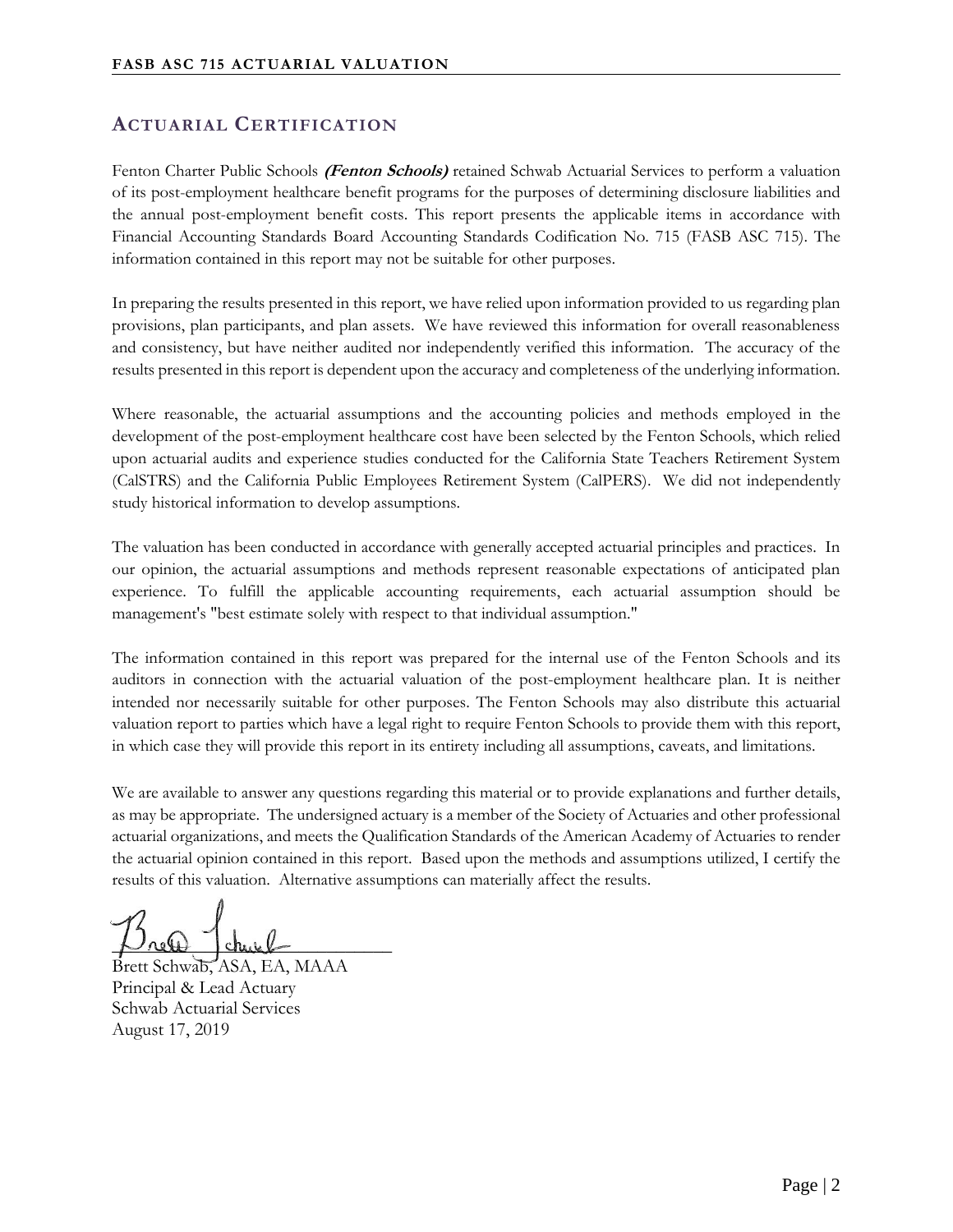# **ACTUARIAL CERTIFICATION**

Fenton Charter Public Schools **(Fenton Schools)** retained Schwab Actuarial Services to perform a valuation of its post-employment healthcare benefit programs for the purposes of determining disclosure liabilities and the annual post-employment benefit costs. This report presents the applicable items in accordance with Financial Accounting Standards Board Accounting Standards Codification No. 715 (FASB ASC 715). The information contained in this report may not be suitable for other purposes.

In preparing the results presented in this report, we have relied upon information provided to us regarding plan provisions, plan participants, and plan assets. We have reviewed this information for overall reasonableness and consistency, but have neither audited nor independently verified this information. The accuracy of the results presented in this report is dependent upon the accuracy and completeness of the underlying information.

Where reasonable, the actuarial assumptions and the accounting policies and methods employed in the development of the post-employment healthcare cost have been selected by the Fenton Schools, which relied upon actuarial audits and experience studies conducted for the California State Teachers Retirement System (CalSTRS) and the California Public Employees Retirement System (CalPERS). We did not independently study historical information to develop assumptions.

The valuation has been conducted in accordance with generally accepted actuarial principles and practices. In our opinion, the actuarial assumptions and methods represent reasonable expectations of anticipated plan experience. To fulfill the applicable accounting requirements, each actuarial assumption should be management's "best estimate solely with respect to that individual assumption."

The information contained in this report was prepared for the internal use of the Fenton Schools and its auditors in connection with the actuarial valuation of the post-employment healthcare plan. It is neither intended nor necessarily suitable for other purposes. The Fenton Schools may also distribute this actuarial valuation report to parties which have a legal right to require Fenton Schools to provide them with this report, in which case they will provide this report in its entirety including all assumptions, caveats, and limitations.

We are available to answer any questions regarding this material or to provide explanations and further details, as may be appropriate. The undersigned actuary is a member of the Society of Actuaries and other professional actuarial organizations, and meets the Qualification Standards of the American Academy of Actuaries to render the actuarial opinion contained in this report. Based upon the methods and assumptions utilized, I certify the results of this valuation. Alternative assumptions can materially affect the results.

 $P$  relet church

Brett Schwab, ASA, EA, MAAA Principal & Lead Actuary Schwab Actuarial Services August 17, 2019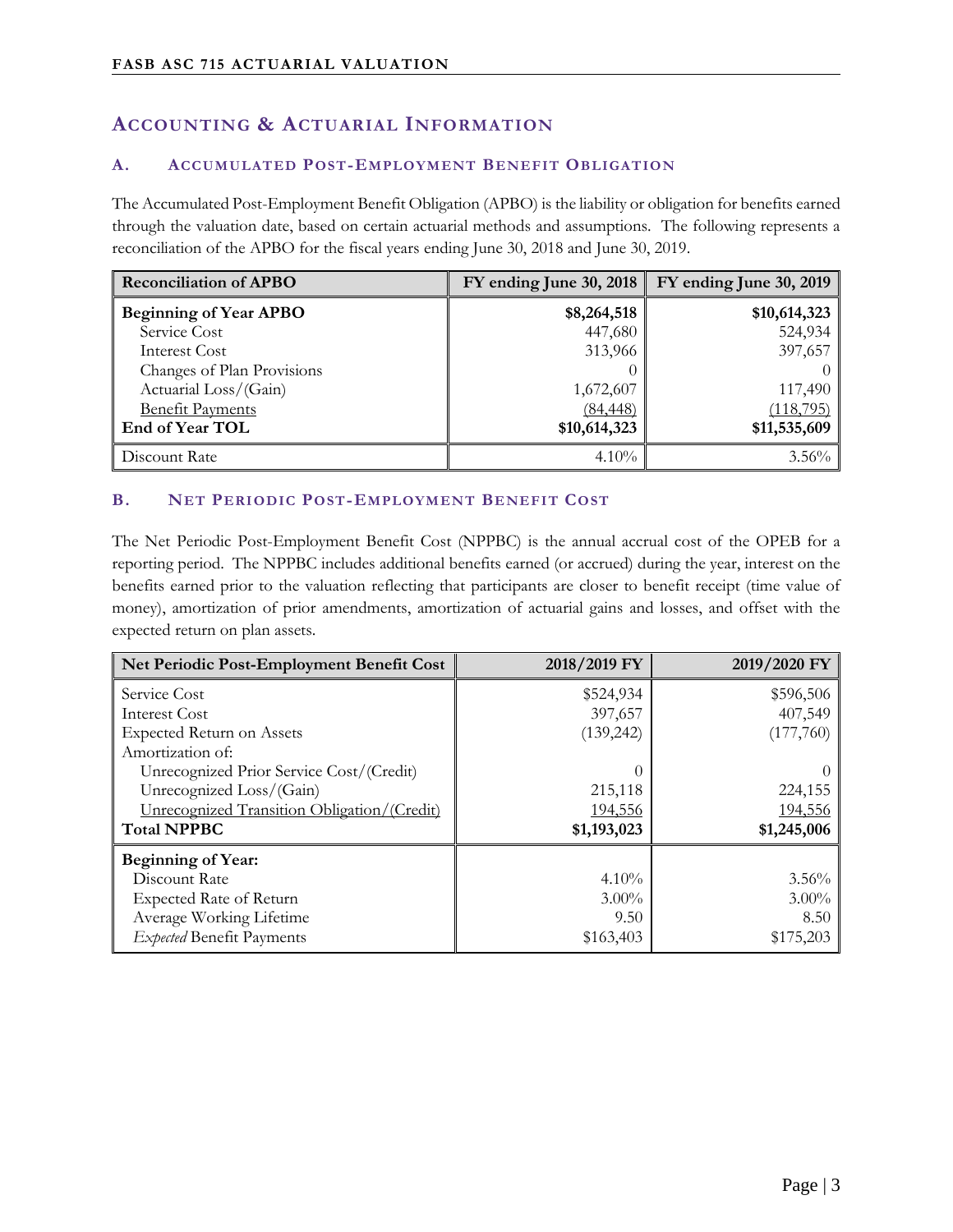# **ACCOUNTING & ACTUARIAL INFORMATION**

#### **A. ACCUMULATED POST-EMPLOYMENT BENEFIT OBLIGATION**

The Accumulated Post-Employment Benefit Obligation (APBO) is the liability or obligation for benefits earned through the valuation date, based on certain actuarial methods and assumptions. The following represents a reconciliation of the APBO for the fiscal years ending June 30, 2018 and June 30, 2019.

| <b>Reconciliation of APBO</b> | FY ending June 30, 2018 | FY ending June 30, 2019 |
|-------------------------------|-------------------------|-------------------------|
| <b>Beginning of Year APBO</b> | \$8,264,518             | \$10,614,323            |
| Service Cost                  | 447,680                 | 524,934                 |
| Interest Cost                 | 313,966                 | 397,657                 |
| Changes of Plan Provisions    |                         |                         |
| Actuarial Loss/(Gain)         | 1,672,607               | 117,490                 |
| <b>Benefit Payments</b>       | (84, 448)               | (118, 795)              |
| End of Year TOL               | \$10,614,323            | \$11,535,609            |
| Discount Rate                 | $4.10\%$                | $3.56\%$                |

#### **B. NET PERIODIC POST-EMPLOYMENT BENEFIT COST**

The Net Periodic Post-Employment Benefit Cost (NPPBC) is the annual accrual cost of the OPEB for a reporting period. The NPPBC includes additional benefits earned (or accrued) during the year, interest on the benefits earned prior to the valuation reflecting that participants are closer to benefit receipt (time value of money), amortization of prior amendments, amortization of actuarial gains and losses, and offset with the expected return on plan assets.

| Net Periodic Post-Employment Benefit Cost   | 2018/2019 FY     | 2019/2020 FY |
|---------------------------------------------|------------------|--------------|
| Service Cost                                | \$524,934        | \$596,506    |
| Interest Cost                               | 397,657          | 407,549      |
| <b>Expected Return on Assets</b>            | (139, 242)       | (177,760)    |
| Amortization of:                            |                  |              |
| Unrecognized Prior Service Cost/(Credit)    | $\left( \right)$ |              |
| Unrecognized Loss/(Gain)                    | 215,118          | 224,155      |
| Unrecognized Transition Obligation/(Credit) | 194,556          | 194,556      |
| <b>Total NPPBC</b>                          | \$1,193,023      | \$1,245,006  |
| <b>Beginning of Year:</b>                   |                  |              |
| Discount Rate                               | $4.10\%$         | 3.56%        |
| Expected Rate of Return                     | $3.00\%$         | $3.00\%$     |
| Average Working Lifetime                    | 9.50             | 8.50         |
| Expected Benefit Payments                   | \$163,403        | \$175,203    |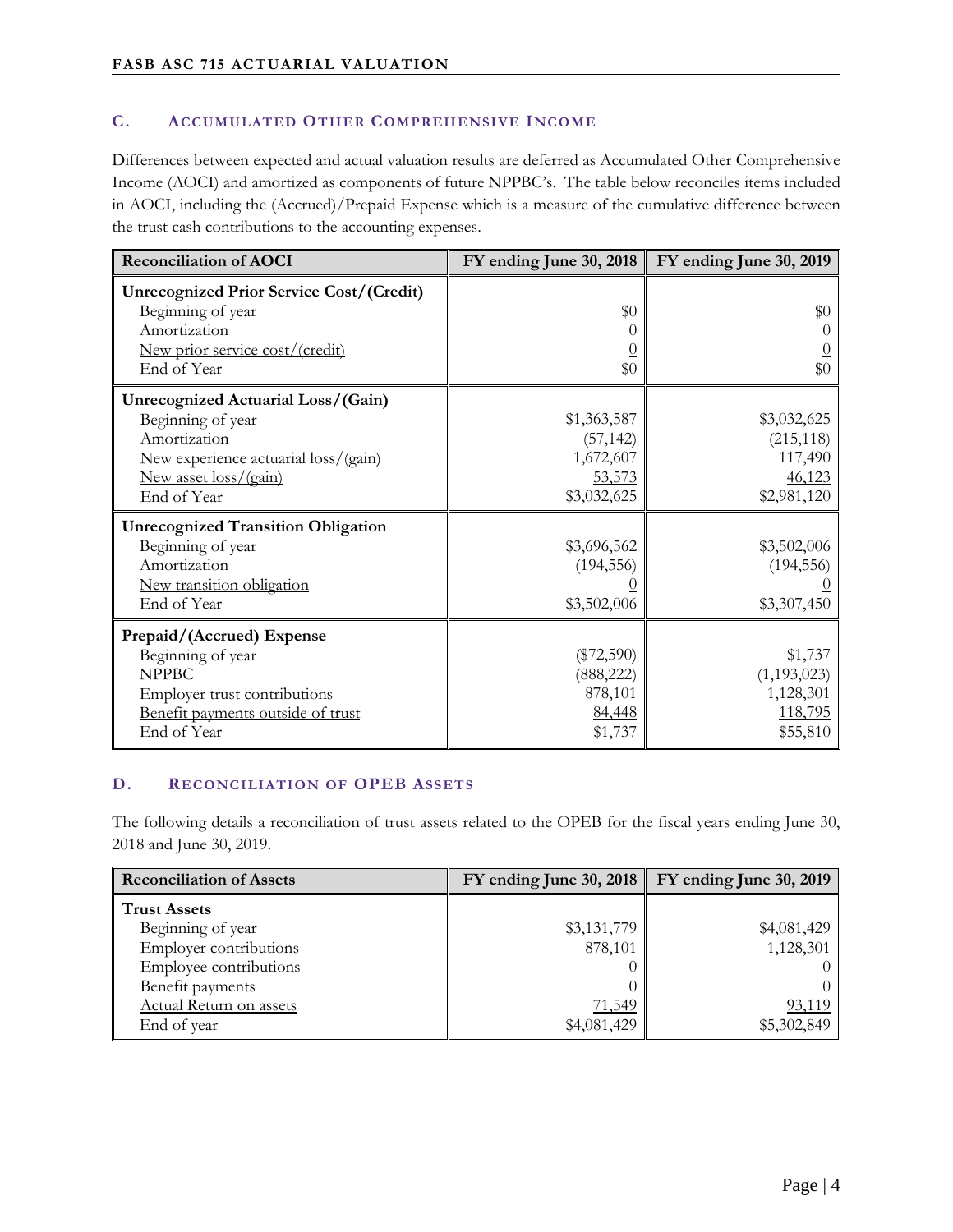#### **C. ACCUMULATED OTHER COMPREHENSIVE INCOME**

Differences between expected and actual valuation results are deferred as Accumulated Other Comprehensive Income (AOCI) and amortized as components of future NPPBC's. The table below reconciles items included in AOCI, including the (Accrued)/Prepaid Expense which is a measure of the cumulative difference between the trust cash contributions to the accounting expenses.

| <b>Reconciliation of AOCI</b>                                                                                                                           | FY ending June 30, 2018                                        | FY ending June 30, 2019                                       |
|---------------------------------------------------------------------------------------------------------------------------------------------------------|----------------------------------------------------------------|---------------------------------------------------------------|
| <b>Unrecognized Prior Service Cost/(Credit)</b><br>Beginning of year<br>Amortization<br><u>New prior service cost/(credit)</u><br>End of Year           | \$0<br>\$0                                                     | \$0<br>\$0                                                    |
| Unrecognized Actuarial Loss/(Gain)<br>Beginning of year<br>Amortization<br>New experience actuarial loss/(gain)<br>New asset loss/(gain)<br>End of Year | \$1,363,587<br>(57, 142)<br>1,672,607<br>53,573<br>\$3,032,625 | \$3,032,625<br>(215, 118)<br>117,490<br>46,123<br>\$2,981,120 |
| <b>Unrecognized Transition Obligation</b><br>Beginning of year<br>Amortization<br>New transition obligation<br>End of Year                              | \$3,696,562<br>(194, 556)<br>\$3,502,006                       | \$3,502,006<br>(194, 556)<br>\$3,307,450                      |
| Prepaid/(Accrued) Expense<br>Beginning of year<br><b>NPPBC</b><br>Employer trust contributions<br>Benefit payments outside of trust<br>End of Year      | $(\$72,590)$<br>(888, 222)<br>878,101<br>84,448<br>\$1,737     | \$1,737<br>(1, 193, 023)<br>1,128,301<br>118,795<br>\$55,810  |

#### **D. RECONCILIATION OF OPEB ASSETS**

The following details a reconciliation of trust assets related to the OPEB for the fiscal years ending June 30, 2018 and June 30, 2019.

| <b>Reconciliation of Assets</b> | $FY$ ending June 30, 2018 | FY ending June 30, 2019 |
|---------------------------------|---------------------------|-------------------------|
| <b>Trust Assets</b>             |                           |                         |
| Beginning of year               | \$3,131,779               | \$4,081,429             |
| Employer contributions          | 878,101                   | 1,128,301               |
| Employee contributions          |                           |                         |
| Benefit payments                |                           |                         |
| <b>Actual Return on assets</b>  | <u>71,549</u>             | <u>93,119</u>           |
| End of year                     | \$4,081,429               | \$5,302,849             |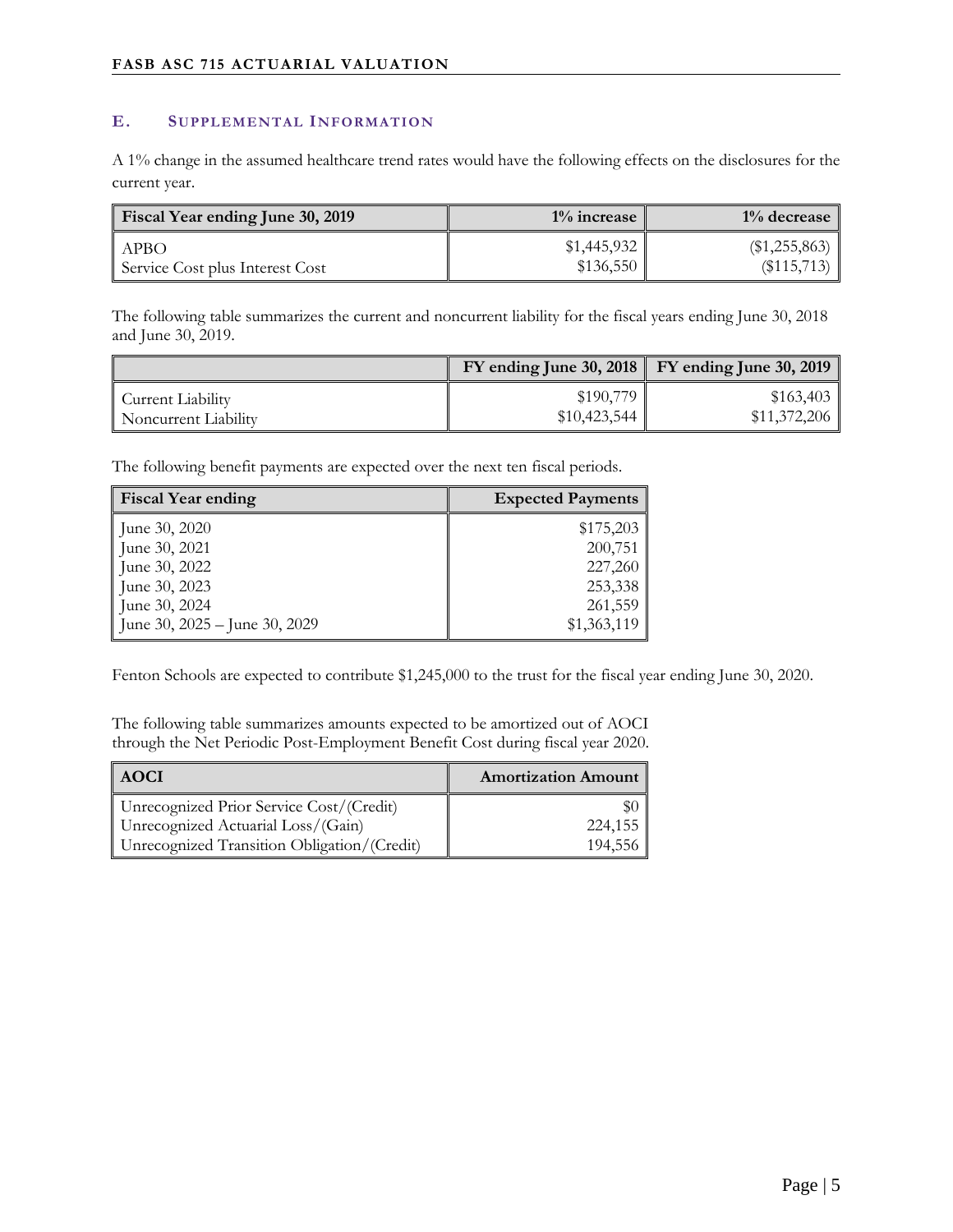#### **E. SUPPLEMENTAL INFORMATION**

A 1% change in the assumed healthcare trend rates would have the following effects on the disclosures for the current year.

| <b>Fiscal Year ending June 30, 2019</b> | $1\%$ increase | $1\%$ decrease  |
|-----------------------------------------|----------------|-----------------|
| <b>APBO</b>                             | \$1,445,932    | $(\$1,255,863)$ |
| Service Cost plus Interest Cost         | \$136,550      | (\$115,713)     |

The following table summarizes the current and noncurrent liability for the fiscal years ending June 30, 2018 and June 30, 2019.

|                      |              | $\text{FY}$ ending June 30, 2018 $\mid$ FY ending June 30, 2019 |
|----------------------|--------------|-----------------------------------------------------------------|
| Current Liability    | \$190,779    | \$163,403                                                       |
| Noncurrent Liability | \$10,423,544 | \$11,372,206                                                    |

The following benefit payments are expected over the next ten fiscal periods.

| <b>Fiscal Year ending</b>       | <b>Expected Payments</b> |
|---------------------------------|--------------------------|
| June 30, 2020                   | \$175,203                |
| June 30, 2021                   | 200,751                  |
| June 30, 2022                   | 227,260                  |
| June 30, 2023                   | 253,338                  |
| June 30, 2024                   | 261,559                  |
| June 30, $2025 -$ June 30, 2029 | \$1,363,119              |

Fenton Schools are expected to contribute \$1,245,000 to the trust for the fiscal year ending June 30, 2020.

The following table summarizes amounts expected to be amortized out of AOCI through the Net Periodic Post-Employment Benefit Cost during fiscal year 2020.

| AOCI                                        | <b>Amortization Amount</b> |
|---------------------------------------------|----------------------------|
| Unrecognized Prior Service Cost/(Credit)    |                            |
| Unrecognized Actuarial Loss/(Gain)          | 224,155                    |
| Unrecognized Transition Obligation/(Credit) | 194,556                    |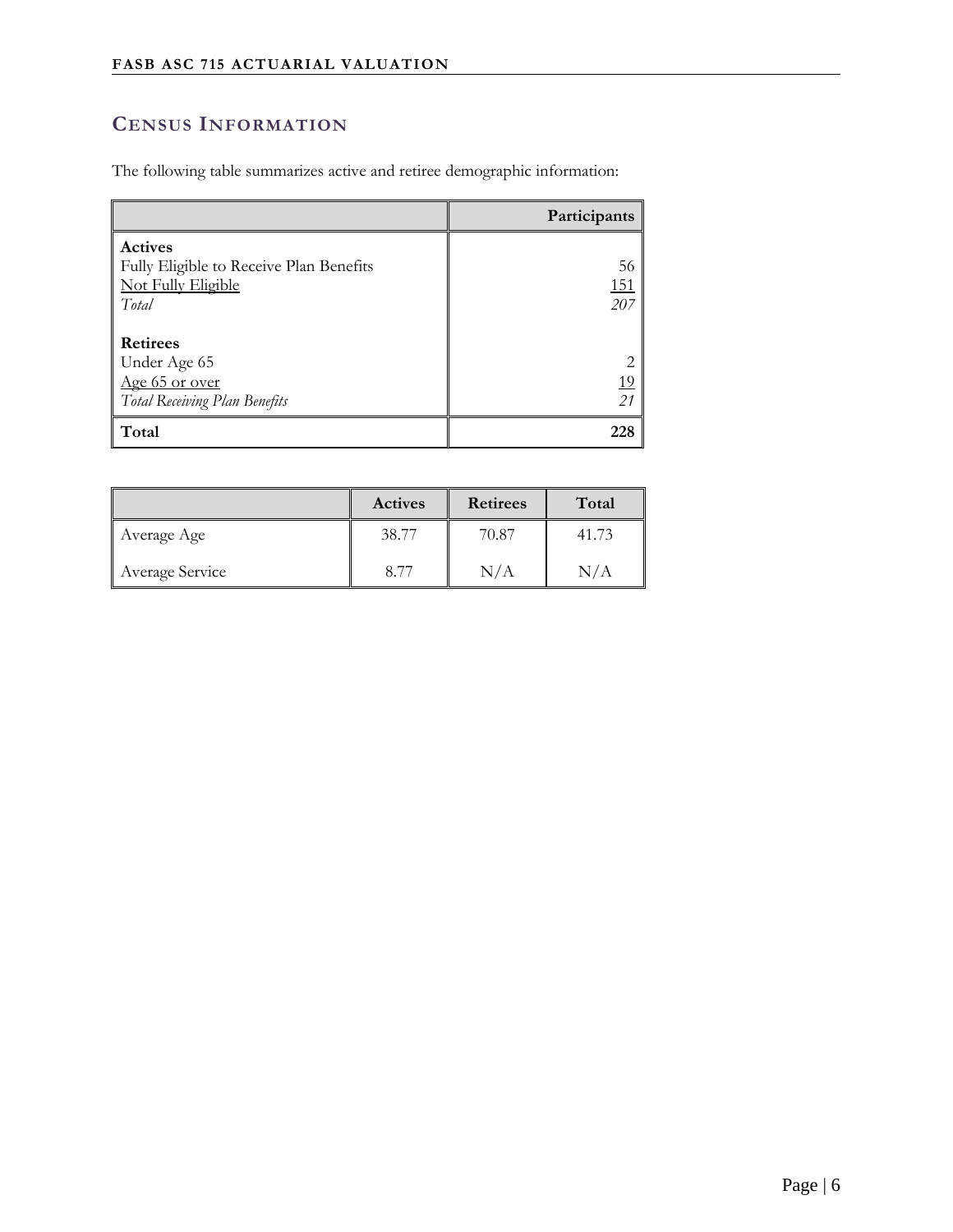# **CENSUS INFORMATION**

The following table summarizes active and retiree demographic information:

|                                         | Participants    |
|-----------------------------------------|-----------------|
| <b>Actives</b>                          |                 |
| Fully Eligible to Receive Plan Benefits | 56              |
| <b>Not Fully Eligible</b>               | <u>151</u>      |
| Total                                   | 207             |
|                                         |                 |
| <b>Retirees</b>                         |                 |
| Under Age 65                            | $\overline{2}$  |
| Age 65 or over                          |                 |
| Total Receiving Plan Benefits           | $\frac{19}{21}$ |
| Total                                   | 228             |

|                 | <b>Actives</b> | <b>Retirees</b> | Total |
|-----------------|----------------|-----------------|-------|
| Average Age     | 38.77          | 70.87           | 41.73 |
| Average Service | 8.77           | N/A             | N/A   |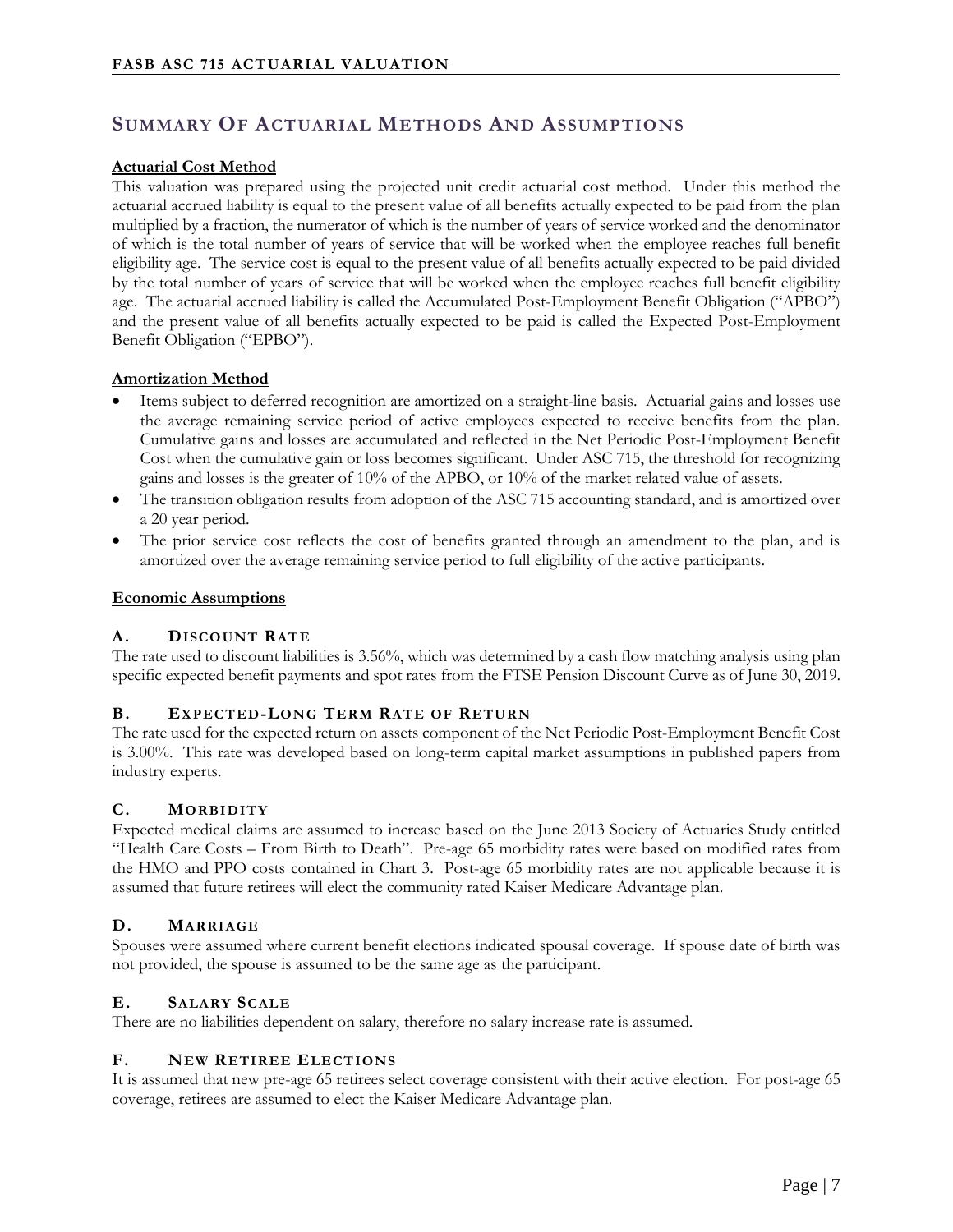# **SUMMARY OF ACTUARIAL METHODS AND ASSUMPTIONS**

#### **Actuarial Cost Method**

This valuation was prepared using the projected unit credit actuarial cost method. Under this method the actuarial accrued liability is equal to the present value of all benefits actually expected to be paid from the plan multiplied by a fraction, the numerator of which is the number of years of service worked and the denominator of which is the total number of years of service that will be worked when the employee reaches full benefit eligibility age. The service cost is equal to the present value of all benefits actually expected to be paid divided by the total number of years of service that will be worked when the employee reaches full benefit eligibility age. The actuarial accrued liability is called the Accumulated Post-Employment Benefit Obligation ("APBO") and the present value of all benefits actually expected to be paid is called the Expected Post-Employment Benefit Obligation ("EPBO").

#### **Amortization Method**

- Items subject to deferred recognition are amortized on a straight-line basis. Actuarial gains and losses use the average remaining service period of active employees expected to receive benefits from the plan. Cumulative gains and losses are accumulated and reflected in the Net Periodic Post-Employment Benefit Cost when the cumulative gain or loss becomes significant. Under ASC 715, the threshold for recognizing gains and losses is the greater of 10% of the APBO, or 10% of the market related value of assets.
- The transition obligation results from adoption of the ASC 715 accounting standard, and is amortized over a 20 year period.
- The prior service cost reflects the cost of benefits granted through an amendment to the plan, and is amortized over the average remaining service period to full eligibility of the active participants.

#### **Economic Assumptions**

#### **A. DISCOUNT RATE**

The rate used to discount liabilities is 3.56%, which was determined by a cash flow matching analysis using plan specific expected benefit payments and spot rates from the FTSE Pension Discount Curve as of June 30, 2019.

#### **B. EXPECTED-LONG TERM RATE OF RETURN**

The rate used for the expected return on assets component of the Net Periodic Post-Employment Benefit Cost is 3.00%. This rate was developed based on long-term capital market assumptions in published papers from industry experts.

#### **C. MORBIDITY**

Expected medical claims are assumed to increase based on the June 2013 Society of Actuaries Study entitled "Health Care Costs – From Birth to Death". Pre-age 65 morbidity rates were based on modified rates from the HMO and PPO costs contained in Chart 3. Post-age 65 morbidity rates are not applicable because it is assumed that future retirees will elect the community rated Kaiser Medicare Advantage plan.

#### **D. MARRIAGE**

Spouses were assumed where current benefit elections indicated spousal coverage. If spouse date of birth was not provided, the spouse is assumed to be the same age as the participant.

#### **E. SALARY SCALE**

There are no liabilities dependent on salary, therefore no salary increase rate is assumed.

#### **F. NEW RETIREE ELECTIONS**

It is assumed that new pre-age 65 retirees select coverage consistent with their active election. For post-age 65 coverage, retirees are assumed to elect the Kaiser Medicare Advantage plan.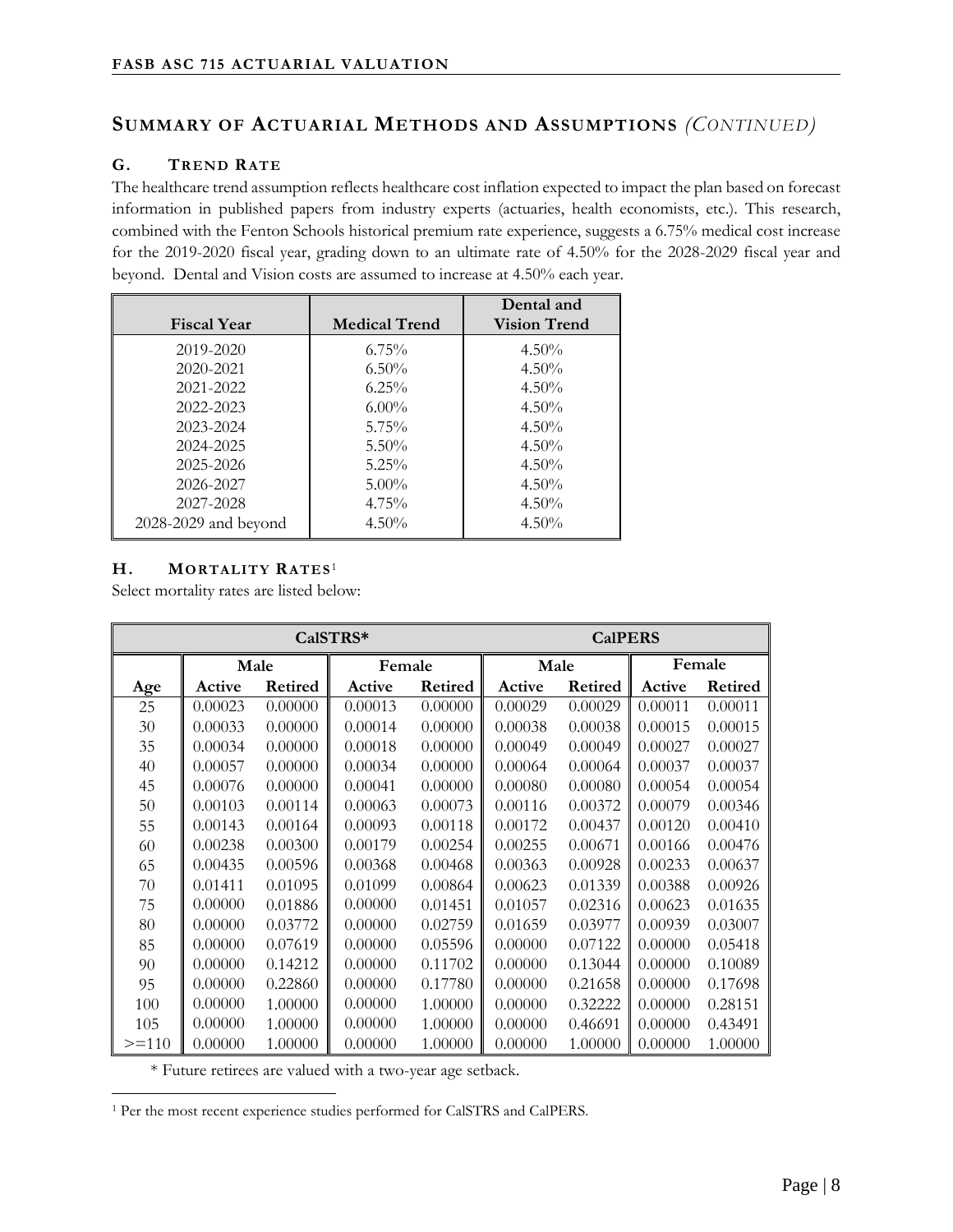### **SUMMARY OF ACTUARIAL METHODS AND ASSUMPTIONS** *(CONTINUED)*

#### **G. TREND RATE**

The healthcare trend assumption reflects healthcare cost inflation expected to impact the plan based on forecast information in published papers from industry experts (actuaries, health economists, etc.). This research, combined with the Fenton Schools historical premium rate experience, suggests a 6.75% medical cost increase for the 2019-2020 fiscal year, grading down to an ultimate rate of 4.50% for the 2028-2029 fiscal year and beyond. Dental and Vision costs are assumed to increase at 4.50% each year.

| <b>Fiscal Year</b>   | <b>Medical Trend</b> | Dental and<br><b>Vision Trend</b> |
|----------------------|----------------------|-----------------------------------|
| 2019-2020            | $6.75\%$             | $4.50\%$                          |
| 2020-2021            | $6.50\%$             | $4.50\%$                          |
| 2021-2022            | $6.25\%$             | $4.50\%$                          |
| 2022-2023            | $6.00\%$             | $4.50\%$                          |
| 2023-2024            | $5.75\%$             | $4.50\%$                          |
| 2024-2025            | $5.50\%$             | $4.50\%$                          |
| 2025-2026            | $5.25\%$             | $4.50\%$                          |
| 2026-2027            | $5.00\%$             | $4.50\%$                          |
| 2027-2028            | $4.75\%$             | $4.50\%$                          |
| 2028-2029 and beyond | $4.50\%$             | $4.50\%$                          |

#### **H. MORTALITY RATES**<sup>1</sup>

Select mortality rates are listed below:

| CalSTRS* |         |                |         |         | <b>CalPERS</b> |         |         |                |
|----------|---------|----------------|---------|---------|----------------|---------|---------|----------------|
|          |         | Male           | Female  |         | Male           |         | Female  |                |
| Age      | Active  | <b>Retired</b> | Active  | Retired |                | Retired | Active  | <b>Retired</b> |
| 25       | 0.00023 | 0.00000        | 0.00013 | 0.00000 | 0.00029        | 0.00029 | 0.00011 | 0.00011        |
| 30       | 0.00033 | 0.00000        | 0.00014 | 0.00000 | 0.00038        | 0.00038 | 0.00015 | 0.00015        |
| 35       | 0.00034 | 0.00000        | 0.00018 | 0.00000 | 0.00049        | 0.00049 | 0.00027 | 0.00027        |
| 40       | 0.00057 | 0.00000        | 0.00034 | 0.00000 | 0.00064        | 0.00064 | 0.00037 | 0.00037        |
| 45       | 0.00076 | 0.00000        | 0.00041 | 0.00000 | 0.00080        | 0.00080 | 0.00054 | 0.00054        |
| 50       | 0.00103 | 0.00114        | 0.00063 | 0.00073 | 0.00116        | 0.00372 | 0.00079 | 0.00346        |
| 55       | 0.00143 | 0.00164        | 0.00093 | 0.00118 | 0.00172        | 0.00437 | 0.00120 | 0.00410        |
| 60       | 0.00238 | 0.00300        | 0.00179 | 0.00254 | 0.00255        | 0.00671 | 0.00166 | 0.00476        |
| 65       | 0.00435 | 0.00596        | 0.00368 | 0.00468 | 0.00363        | 0.00928 | 0.00233 | 0.00637        |
| 70       | 0.01411 | 0.01095        | 0.01099 | 0.00864 | 0.00623        | 0.01339 | 0.00388 | 0.00926        |
| 75       | 0.00000 | 0.01886        | 0.00000 | 0.01451 | 0.01057        | 0.02316 | 0.00623 | 0.01635        |
| 80       | 0.00000 | 0.03772        | 0.00000 | 0.02759 | 0.01659        | 0.03977 | 0.00939 | 0.03007        |
| 85       | 0.00000 | 0.07619        | 0.00000 | 0.05596 | 0.00000        | 0.07122 | 0.00000 | 0.05418        |
| 90       | 0.00000 | 0.14212        | 0.00000 | 0.11702 | 0.00000        | 0.13044 | 0.00000 | 0.10089        |
| 95       | 0.00000 | 0.22860        | 0.00000 | 0.17780 | 0.00000        | 0.21658 | 0.00000 | 0.17698        |
| 100      | 0.00000 | 1.00000        | 0.00000 | 1.00000 | 0.00000        | 0.32222 | 0.00000 | 0.28151        |
| 105      | 0.00000 | 1.00000        | 0.00000 | 1.00000 | 0.00000        | 0.46691 | 0.00000 | 0.43491        |
| $>=110$  | 0.00000 | 1.00000        | 0.00000 | 1.00000 | 0.00000        | 1.00000 | 0.00000 | 1.00000        |

\* Future retirees are valued with a two-year age setback.

 $\overline{a}$ <sup>1</sup> Per the most recent experience studies performed for CalSTRS and CalPERS.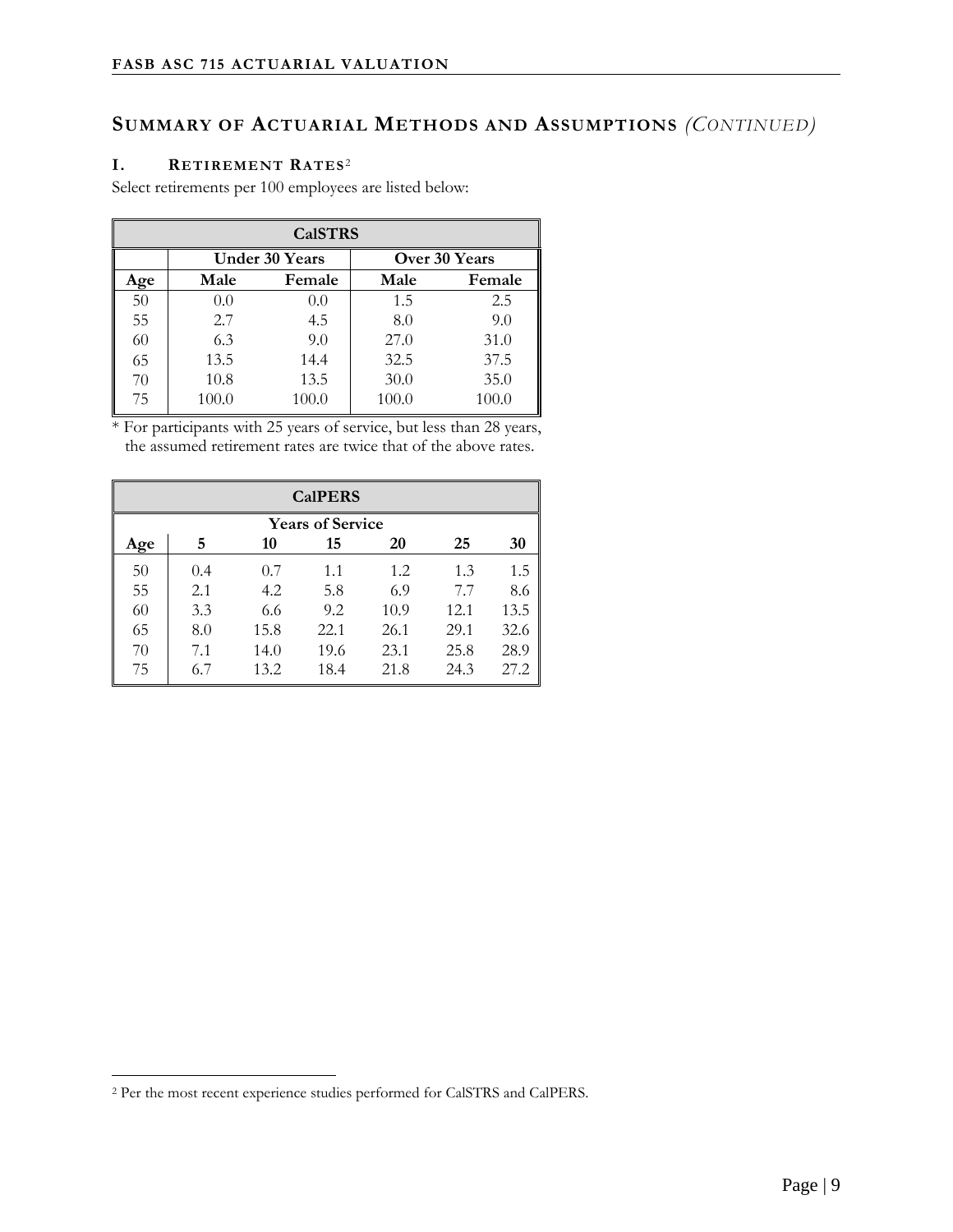# **SUMMARY OF ACTUARIAL METHODS AND ASSUMPTIONS** *(CONTINUED)*

#### **I. RETIREMENT RATES**<sup>2</sup>

Select retirements per 100 employees are listed below:

| <b>CalSTRS</b> |       |                |       |               |  |  |
|----------------|-------|----------------|-------|---------------|--|--|
|                |       | Under 30 Years |       | Over 30 Years |  |  |
| Age            | Male  | Female         | Male  | Female        |  |  |
| 50             | 0.0   | 0.0            | 1.5   | 2.5           |  |  |
| 55             | 2.7   | 4.5            | 8.0   | 9.0           |  |  |
| 60             | 6.3   | 9.0            | 27.0  | 31.0          |  |  |
| 65             | 13.5  | 14.4           | 32.5  | 37.5          |  |  |
| 70             | 10.8  | 13.5           | 30.0  | 35.0          |  |  |
| 75             | 100.0 | 100.0          | 100.0 | 100.0         |  |  |

\* For participants with 25 years of service, but less than 28 years, the assumed retirement rates are twice that of the above rates.

| <b>CalPERS</b> |                         |      |      |      |      |      |  |  |  |
|----------------|-------------------------|------|------|------|------|------|--|--|--|
|                | <b>Years of Service</b> |      |      |      |      |      |  |  |  |
| Age            | 5                       | 10   | 15   | 20   | 25   | 30   |  |  |  |
| 50             | 0.4                     | 0.7  | 1.1  | 1.2  | 1.3  | 1.5  |  |  |  |
| 55             | 2.1                     | 4.2  | 5.8  | 6.9  | 7.7  | 8.6  |  |  |  |
| 60             | 3.3                     | 6.6  | 9.2  | 10.9 | 12.1 | 13.5 |  |  |  |
| 65             | 8.0                     | 15.8 | 22.1 | 26.1 | 29.1 | 32.6 |  |  |  |
| 70             | 7.1                     | 14.0 | 19.6 | 23.1 | 25.8 | 28.9 |  |  |  |
| 75             | 6.7                     | 13.2 | 18.4 | 21.8 | 24.3 | 27.2 |  |  |  |

 $\overline{a}$ 

<sup>2</sup> Per the most recent experience studies performed for CalSTRS and CalPERS.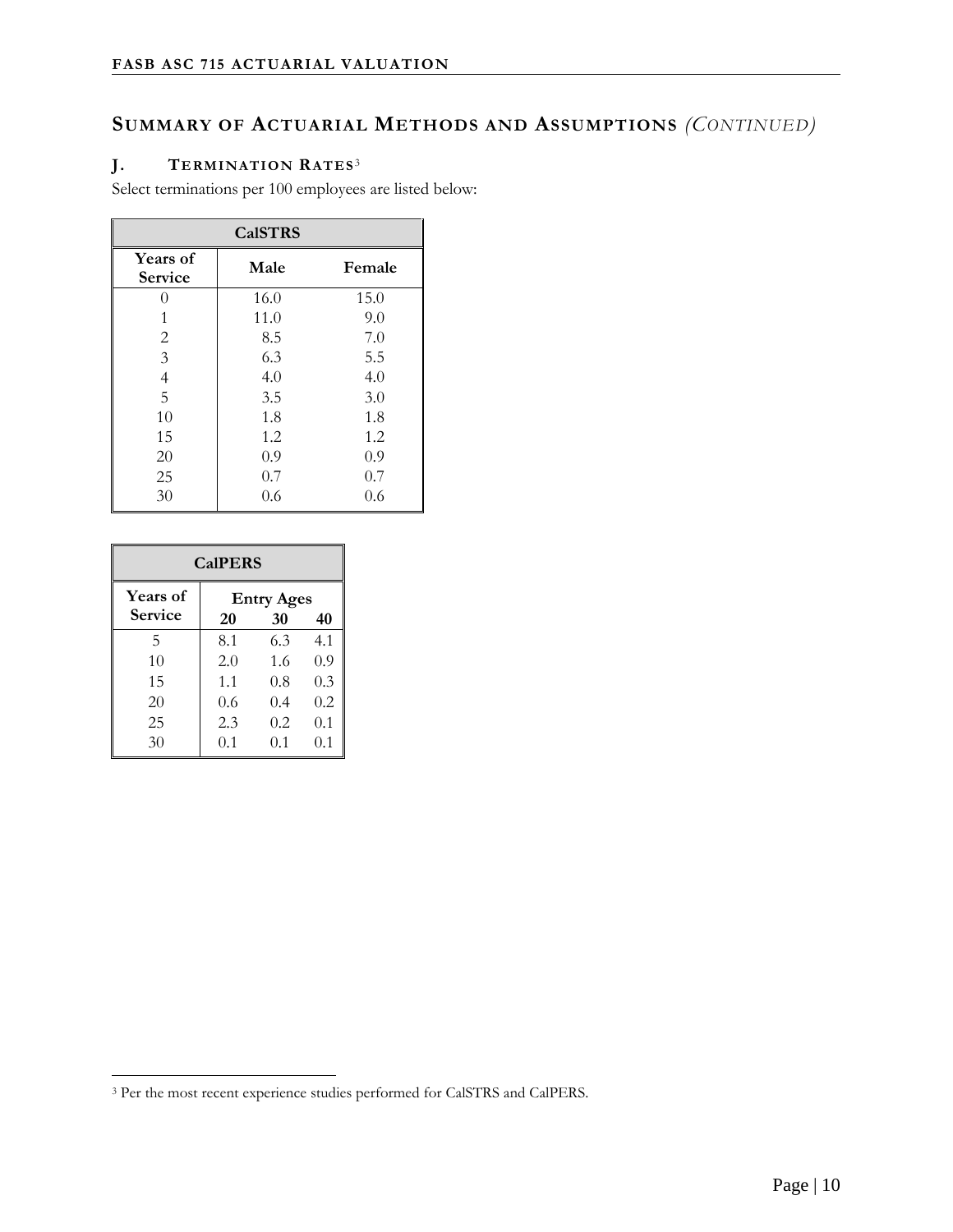# **SUMMARY OF ACTUARIAL METHODS AND ASSUMPTIONS** *(CONTINUED)*

#### **J. TERMINATION RATES**<sup>3</sup>

Select terminations per 100 employees are listed below:

| <b>CalSTRS</b>             |      |        |  |  |  |  |
|----------------------------|------|--------|--|--|--|--|
| Years of<br><b>Service</b> | Male | Female |  |  |  |  |
| 0                          | 16.0 | 15.0   |  |  |  |  |
|                            | 11.0 | 9.0    |  |  |  |  |
| $\mathbf{2}$               | 8.5  | 7.0    |  |  |  |  |
| 3                          | 6.3  | 5.5    |  |  |  |  |
| 4                          | 4.0  | 4.0    |  |  |  |  |
| 5                          | 3.5  | 3.0    |  |  |  |  |
| 10                         | 1.8  | 1.8    |  |  |  |  |
| 15                         | 1.2  | 1.2    |  |  |  |  |
| 20                         | 0.9  | 0.9    |  |  |  |  |
| 25                         | 0.7  | 0.7    |  |  |  |  |
| 30                         | 0.6  | 0.6    |  |  |  |  |

| <b>CalPERS</b>                    |                                     |     |     |  |  |  |
|-----------------------------------|-------------------------------------|-----|-----|--|--|--|
| <b>Years of</b><br><b>Service</b> | <b>Entry Ages</b><br>30<br>40<br>20 |     |     |  |  |  |
| 5                                 | 8.1                                 | 6.3 | 4.1 |  |  |  |
| 10                                | 2.0                                 | 1.6 | 0.9 |  |  |  |
| 15                                | 1.1                                 | 0.8 | 0.3 |  |  |  |
| 20                                | 0.6                                 | 0.4 | 0.2 |  |  |  |
| 25                                | 2.3                                 | 0.2 | 0.1 |  |  |  |
| 30                                | 0.1                                 | 0.1 | 0.1 |  |  |  |

 $\overline{a}$ 

<sup>3</sup> Per the most recent experience studies performed for CalSTRS and CalPERS.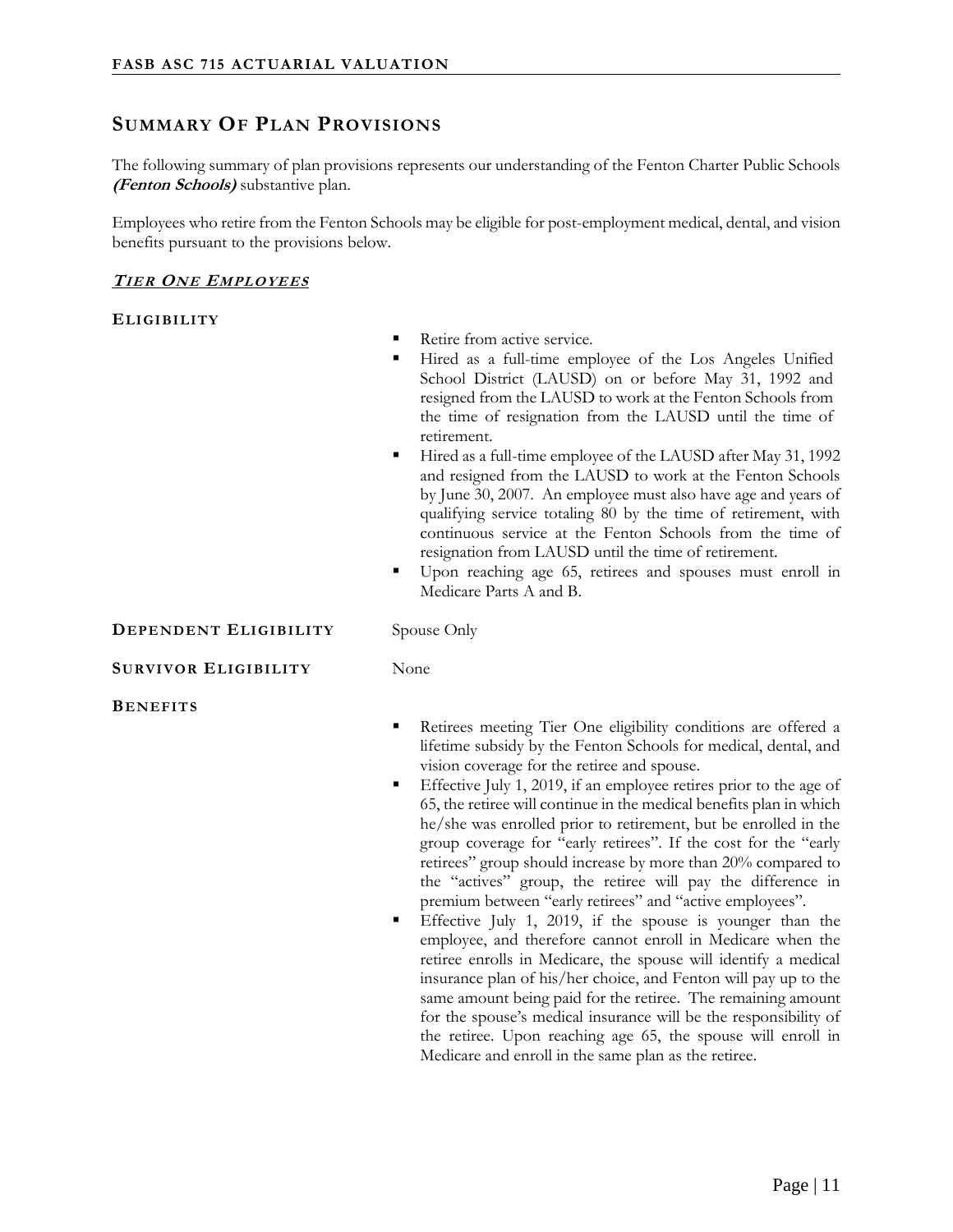# **SUMMARY OF PLAN PROVISIONS**

The following summary of plan provisions represents our understanding of the Fenton Charter Public Schools **(Fenton Schools)** substantive plan.

Employees who retire from the Fenton Schools may be eligible for post-employment medical, dental, and vision benefits pursuant to the provisions below.

#### **TIER ONE EMPLOYEES**

#### **ELIGIBILITY**

- Retire from active service.
- Hired as a full-time employee of the Los Angeles Unified School District (LAUSD) on or before May 31, 1992 and resigned from the LAUSD to work at the Fenton Schools from the time of resignation from the LAUSD until the time of retirement.
- Hired as a full-time employee of the LAUSD after May 31, 1992 and resigned from the LAUSD to work at the Fenton Schools by June 30, 2007. An employee must also have age and years of qualifying service totaling 80 by the time of retirement, with continuous service at the Fenton Schools from the time of resignation from LAUSD until the time of retirement.
- Upon reaching age 65, retirees and spouses must enroll in Medicare Parts A and B.

#### **DEPENDENT ELIGIBILITY** Spouse Only

#### **SURVIVOR ELIGIBILITY** None

**BENEFITS**

- Retirees meeting Tier One eligibility conditions are offered a lifetime subsidy by the Fenton Schools for medical, dental, and vision coverage for the retiree and spouse.
- Effective July 1, 2019, if an employee retires prior to the age of 65, the retiree will continue in the medical benefits plan in which he/she was enrolled prior to retirement, but be enrolled in the group coverage for "early retirees". If the cost for the "early retirees" group should increase by more than 20% compared to the "actives" group, the retiree will pay the difference in premium between "early retirees" and "active employees".
- Effective July 1, 2019, if the spouse is younger than the employee, and therefore cannot enroll in Medicare when the retiree enrolls in Medicare, the spouse will identify a medical insurance plan of his/her choice, and Fenton will pay up to the same amount being paid for the retiree. The remaining amount for the spouse's medical insurance will be the responsibility of the retiree. Upon reaching age 65, the spouse will enroll in Medicare and enroll in the same plan as the retiree.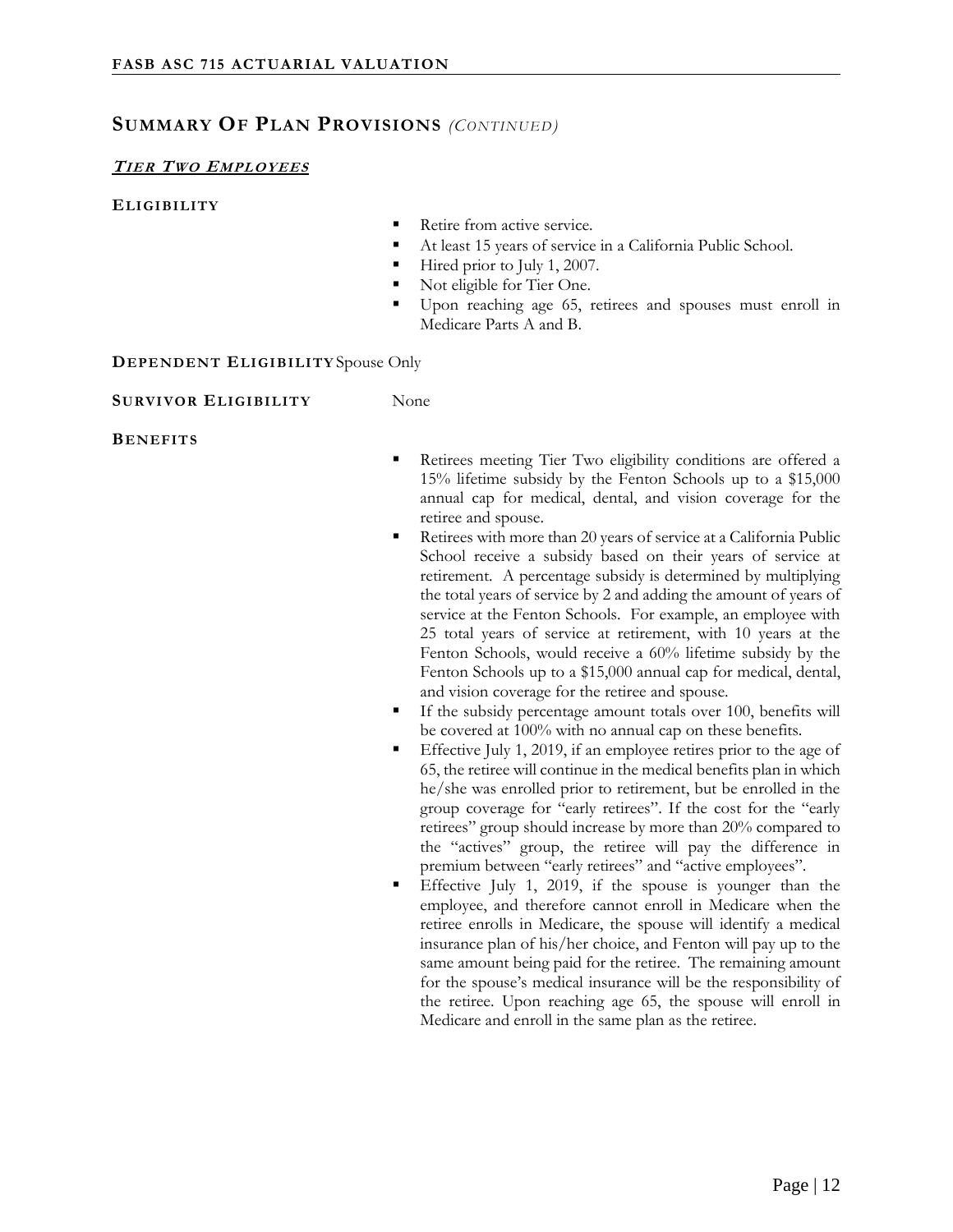#### **SUMMARY OF PLAN PROVISIONS** *(CONTINUED)*

#### **TIER TWO EMPLOYEES**

#### **ELIGIBILITY**

- Retire from active service.
- At least 15 years of service in a California Public School.
- Hired prior to July 1, 2007.
- Not eligible for Tier One.
- Upon reaching age 65, retirees and spouses must enroll in Medicare Parts A and B.

#### **DEPENDENT ELIGIBILITY** Spouse Only

#### **SURVIVOR ELIGIBILITY** None

#### **BENEFITS**

- Retirees meeting Tier Two eligibility conditions are offered a 15% lifetime subsidy by the Fenton Schools up to a \$15,000 annual cap for medical, dental, and vision coverage for the retiree and spouse.
- Retirees with more than 20 years of service at a California Public School receive a subsidy based on their years of service at retirement. A percentage subsidy is determined by multiplying the total years of service by 2 and adding the amount of years of service at the Fenton Schools. For example, an employee with 25 total years of service at retirement, with 10 years at the Fenton Schools, would receive a 60% lifetime subsidy by the Fenton Schools up to a \$15,000 annual cap for medical, dental, and vision coverage for the retiree and spouse.
- If the subsidy percentage amount totals over 100, benefits will be covered at 100% with no annual cap on these benefits.
- Effective July 1, 2019, if an employee retires prior to the age of 65, the retiree will continue in the medical benefits plan in which he/she was enrolled prior to retirement, but be enrolled in the group coverage for "early retirees". If the cost for the "early retirees" group should increase by more than 20% compared to the "actives" group, the retiree will pay the difference in premium between "early retirees" and "active employees".
- Effective July 1, 2019, if the spouse is younger than the employee, and therefore cannot enroll in Medicare when the retiree enrolls in Medicare, the spouse will identify a medical insurance plan of his/her choice, and Fenton will pay up to the same amount being paid for the retiree. The remaining amount for the spouse's medical insurance will be the responsibility of the retiree. Upon reaching age 65, the spouse will enroll in Medicare and enroll in the same plan as the retiree.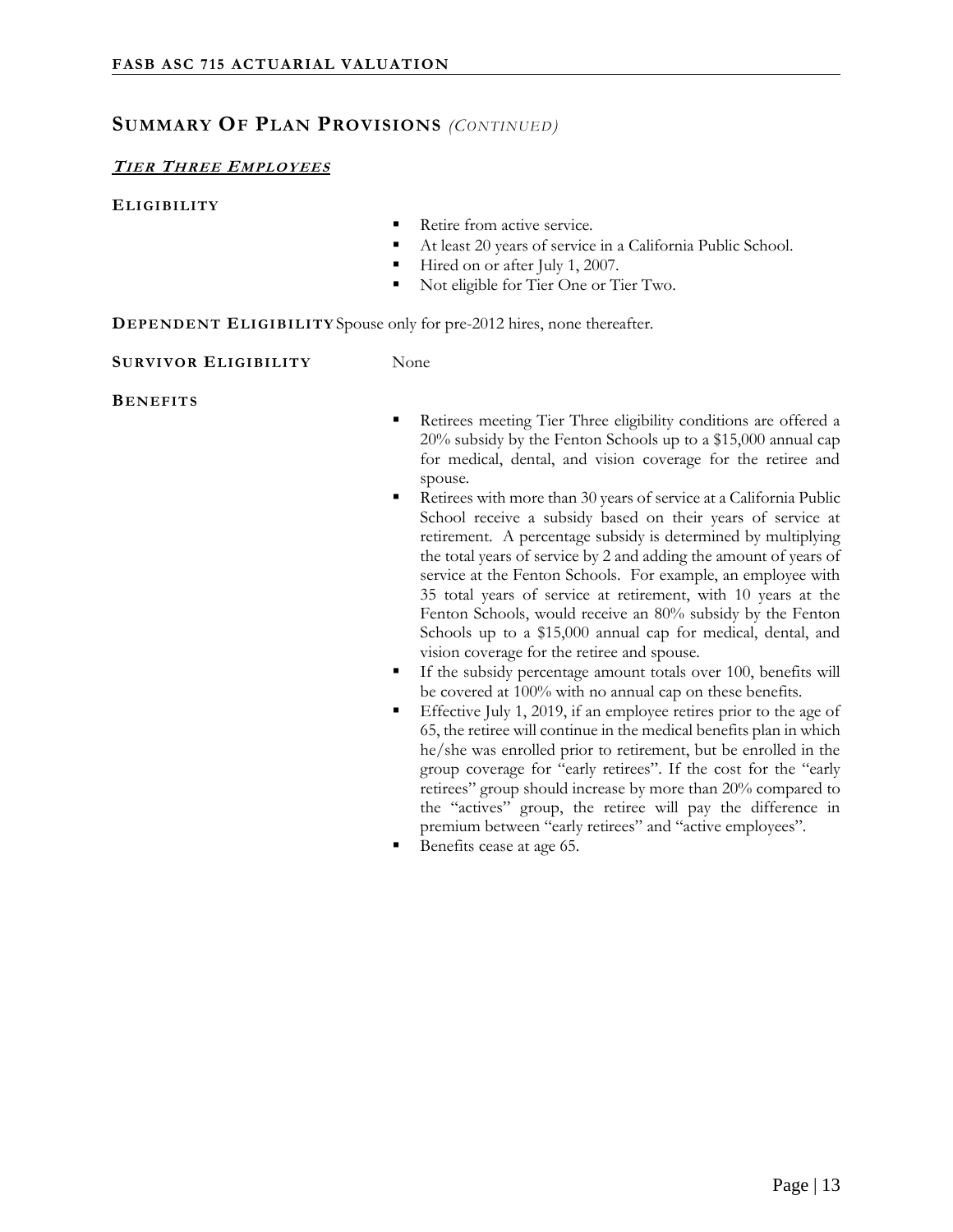#### **SUMMARY OF PLAN PROVISIONS** *(CONTINUED)*

#### **TIER THREE EMPLOYEES**

#### **ELIGIBILITY**

- Retire from active service.
- At least 20 years of service in a California Public School.
- Hired on or after July 1, 2007.
- Not eligible for Tier One or Tier Two.

**DEPENDENT ELIGIBILITY** Spouse only for pre-2012 hires, none thereafter.

**SURVIVOR ELIGIBILITY** None

**BENEFITS**

- Retirees meeting Tier Three eligibility conditions are offered a 20% subsidy by the Fenton Schools up to a \$15,000 annual cap for medical, dental, and vision coverage for the retiree and spouse.
- Retirees with more than 30 years of service at a California Public School receive a subsidy based on their years of service at retirement. A percentage subsidy is determined by multiplying the total years of service by 2 and adding the amount of years of service at the Fenton Schools. For example, an employee with 35 total years of service at retirement, with 10 years at the Fenton Schools, would receive an 80% subsidy by the Fenton Schools up to a \$15,000 annual cap for medical, dental, and vision coverage for the retiree and spouse.
- If the subsidy percentage amount totals over 100, benefits will be covered at 100% with no annual cap on these benefits.
- Effective July 1, 2019, if an employee retires prior to the age of 65, the retiree will continue in the medical benefits plan in which he/she was enrolled prior to retirement, but be enrolled in the group coverage for "early retirees". If the cost for the "early retirees" group should increase by more than 20% compared to the "actives" group, the retiree will pay the difference in premium between "early retirees" and "active employees".
- Benefits cease at age 65.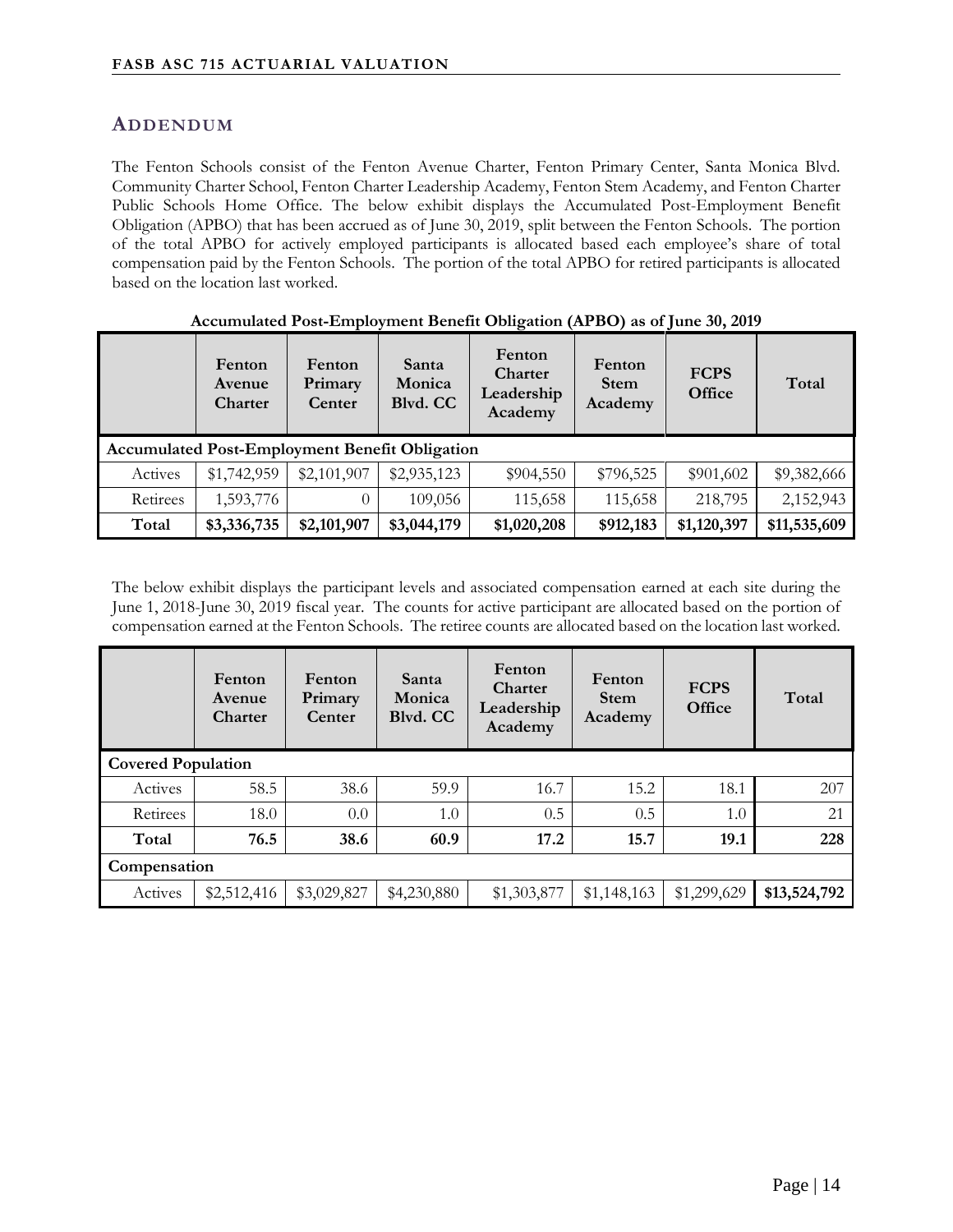# **ADDENDUM**

The Fenton Schools consist of the Fenton Avenue Charter, Fenton Primary Center, Santa Monica Blvd. Community Charter School, Fenton Charter Leadership Academy, Fenton Stem Academy, and Fenton Charter Public Schools Home Office. The below exhibit displays the Accumulated Post-Employment Benefit Obligation (APBO) that has been accrued as of June 30, 2019, split between the Fenton Schools. The portion of the total APBO for actively employed participants is allocated based each employee's share of total compensation paid by the Fenton Schools. The portion of the total APBO for retired participants is allocated based on the location last worked.

| $\frac{1}{2}$ |                                                       |                             |                             |                                            |                                  |                       |              |
|---------------|-------------------------------------------------------|-----------------------------|-----------------------------|--------------------------------------------|----------------------------------|-----------------------|--------------|
|               | Fenton<br>Avenue<br>Charter                           | Fenton<br>Primary<br>Center | Santa<br>Monica<br>Blvd. CC | Fenton<br>Charter<br>Leadership<br>Academy | Fenton<br><b>Stem</b><br>Academy | <b>FCPS</b><br>Office | Total        |
|               | <b>Accumulated Post-Employment Benefit Obligation</b> |                             |                             |                                            |                                  |                       |              |
| Actives       | \$1,742,959                                           | \$2,101,907                 | \$2,935,123                 | \$904,550                                  | \$796,525                        | \$901,602             | \$9,382,666  |
| Retirees      | 1,593,776                                             | 0                           | 109,056                     | 115,658                                    | 115,658                          | 218,795               | 2,152,943    |
| Total         | \$3,336,735                                           | \$2,101,907                 | \$3,044,179                 | \$1,020,208                                | \$912,183                        | \$1,120,397           | \$11,535,609 |

#### **Accumulated Post-Employment Benefit Obligation (APBO) as of June 30, 2019**

The below exhibit displays the participant levels and associated compensation earned at each site during the June 1, 2018-June 30, 2019 fiscal year. The counts for active participant are allocated based on the portion of compensation earned at the Fenton Schools. The retiree counts are allocated based on the location last worked.

|              | Fenton<br>Avenue<br><b>Charter</b> | Fenton<br>Primary<br>Center | Santa<br>Monica<br>Blvd. CC | Fenton<br><b>Charter</b><br>Leadership<br>Academy | Fenton<br><b>Stem</b><br>Academy | <b>FCPS</b><br>Office | Total        |  |
|--------------|------------------------------------|-----------------------------|-----------------------------|---------------------------------------------------|----------------------------------|-----------------------|--------------|--|
|              | <b>Covered Population</b>          |                             |                             |                                                   |                                  |                       |              |  |
| Actives      | 58.5                               | 38.6                        | 59.9                        | 16.7                                              | 15.2                             | 18.1                  | 207          |  |
| Retirees     | 18.0                               | 0.0                         | 1.0                         | 0.5                                               | 0.5                              | 1.0                   | 21           |  |
| Total        | 76.5                               | 38.6                        | 60.9                        | 17.2                                              | 15.7                             | 19.1                  | 228          |  |
| Compensation |                                    |                             |                             |                                                   |                                  |                       |              |  |
| Actives      | \$2,512,416                        | \$3,029,827                 | \$4,230,880                 | \$1,303,877                                       | \$1,148,163                      | \$1,299,629           | \$13,524,792 |  |